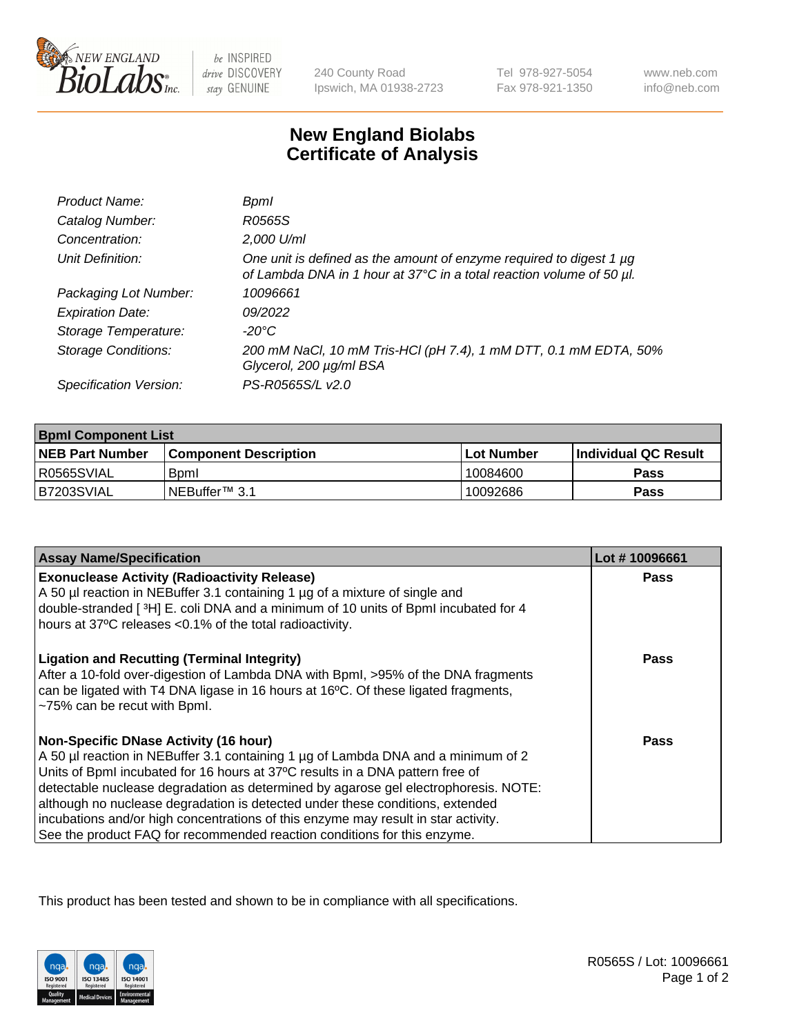

 $be$  INSPIRED drive DISCOVERY stay GENUINE

240 County Road Ipswich, MA 01938-2723 Tel 978-927-5054 Fax 978-921-1350

www.neb.com info@neb.com

## **New England Biolabs Certificate of Analysis**

| Product Name:              | Bpml                                                                                                                                        |
|----------------------------|---------------------------------------------------------------------------------------------------------------------------------------------|
| Catalog Number:            | R0565S                                                                                                                                      |
| Concentration:             | 2,000 U/ml                                                                                                                                  |
| Unit Definition:           | One unit is defined as the amount of enzyme required to digest 1 µg<br>of Lambda DNA in 1 hour at 37°C in a total reaction volume of 50 µl. |
| Packaging Lot Number:      | 10096661                                                                                                                                    |
| <b>Expiration Date:</b>    | 09/2022                                                                                                                                     |
| Storage Temperature:       | -20°C                                                                                                                                       |
| <b>Storage Conditions:</b> | 200 mM NaCl, 10 mM Tris-HCl (pH 7.4), 1 mM DTT, 0.1 mM EDTA, 50%<br>Glycerol, 200 µg/ml BSA                                                 |
| Specification Version:     | PS-R0565S/L v2.0                                                                                                                            |

| <b>Bpml Component List</b> |                              |              |                             |  |
|----------------------------|------------------------------|--------------|-----------------------------|--|
| <b>NEB Part Number</b>     | <b>Component Description</b> | l Lot Number | <b>Individual QC Result</b> |  |
| I R0565SVIAL               | <b>B</b> <sub>pm</sub>       | 10084600     | Pass                        |  |
| B7203SVIAL                 | INEBuffer <sup>™</sup> 3.1   | 10092686     | Pass                        |  |

| <b>Assay Name/Specification</b>                                                                                                                                                                                                                                                                                                                                                                                                                                                                                                                              | Lot #10096661 |
|--------------------------------------------------------------------------------------------------------------------------------------------------------------------------------------------------------------------------------------------------------------------------------------------------------------------------------------------------------------------------------------------------------------------------------------------------------------------------------------------------------------------------------------------------------------|---------------|
| <b>Exonuclease Activity (Radioactivity Release)</b><br>A 50 µl reaction in NEBuffer 3.1 containing 1 µg of a mixture of single and                                                                                                                                                                                                                                                                                                                                                                                                                           | <b>Pass</b>   |
| double-stranded [3H] E. coli DNA and a minimum of 10 units of BpmI incubated for 4<br>hours at 37°C releases <0.1% of the total radioactivity.                                                                                                                                                                                                                                                                                                                                                                                                               |               |
| <b>Ligation and Recutting (Terminal Integrity)</b><br>After a 10-fold over-digestion of Lambda DNA with Bpml, >95% of the DNA fragments<br>can be ligated with T4 DNA ligase in 16 hours at 16°C. Of these ligated fragments,<br>~75% can be recut with Bpml.                                                                                                                                                                                                                                                                                                | Pass          |
| <b>Non-Specific DNase Activity (16 hour)</b><br>A 50 µl reaction in NEBuffer 3.1 containing 1 µg of Lambda DNA and a minimum of 2<br>Units of BpmI incubated for 16 hours at 37°C results in a DNA pattern free of<br>detectable nuclease degradation as determined by agarose gel electrophoresis. NOTE:<br>although no nuclease degradation is detected under these conditions, extended<br>incubations and/or high concentrations of this enzyme may result in star activity.<br>See the product FAQ for recommended reaction conditions for this enzyme. | Pass          |

This product has been tested and shown to be in compliance with all specifications.